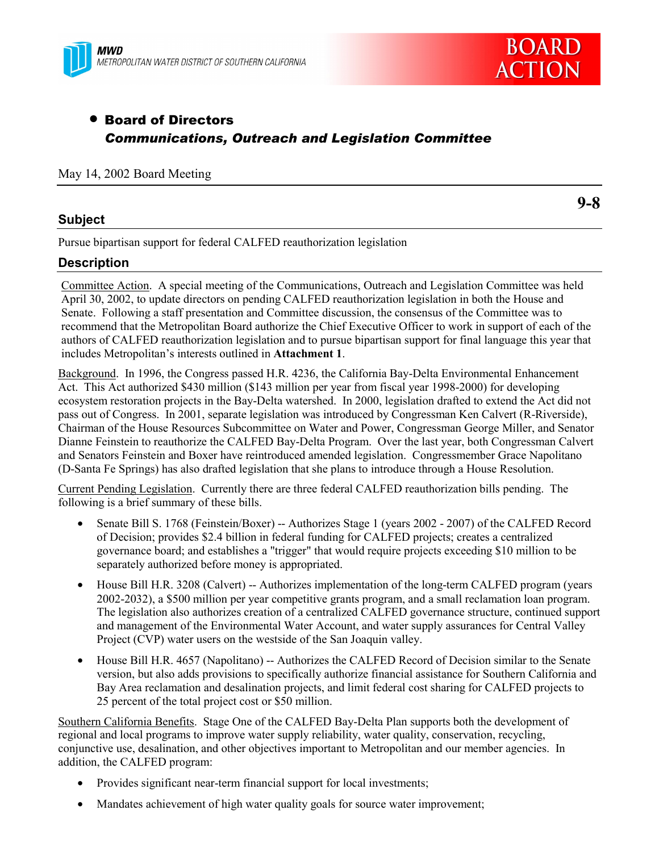



# • Board of Directors *Communications, Outreach and Legislation Committee*

#### May 14, 2002 Board Meeting

#### **Subject**

**9-8**

Pursue bipartisan support for federal CALFED reauthorization legislation

#### **Description**

Committee Action. A special meeting of the Communications, Outreach and Legislation Committee was held April 30, 2002, to update directors on pending CALFED reauthorization legislation in both the House and Senate. Following a staff presentation and Committee discussion, the consensus of the Committee was to recommend that the Metropolitan Board authorize the Chief Executive Officer to work in support of each of the authors of CALFED reauthorization legislation and to pursue bipartisan support for final language this year that includes Metropolitan's interests outlined in **Attachment 1**.

Background. In 1996, the Congress passed H.R. 4236, the California Bay-Delta Environmental Enhancement Act. This Act authorized \$430 million (\$143 million per year from fiscal year 1998-2000) for developing ecosystem restoration projects in the Bay-Delta watershed. In 2000, legislation drafted to extend the Act did not pass out of Congress. In 2001, separate legislation was introduced by Congressman Ken Calvert (R-Riverside), Chairman of the House Resources Subcommittee on Water and Power, Congressman George Miller, and Senator Dianne Feinstein to reauthorize the CALFED Bay-Delta Program. Over the last year, both Congressman Calvert and Senators Feinstein and Boxer have reintroduced amended legislation. Congressmember Grace Napolitano (D-Santa Fe Springs) has also drafted legislation that she plans to introduce through a House Resolution.

Current Pending Legislation. Currently there are three federal CALFED reauthorization bills pending. The following is a brief summary of these bills.

- Senate Bill S. 1768 (Feinstein/Boxer) -- Authorizes Stage 1 (years 2002 2007) of the CALFED Record of Decision; provides \$2.4 billion in federal funding for CALFED projects; creates a centralized governance board; and establishes a "trigger" that would require projects exceeding \$10 million to be separately authorized before money is appropriated.
- House Bill H.R. 3208 (Calvert) -- Authorizes implementation of the long-term CALFED program (years 2002-2032), a \$500 million per year competitive grants program, and a small reclamation loan program. The legislation also authorizes creation of a centralized CALFED governance structure, continued support and management of the Environmental Water Account, and water supply assurances for Central Valley Project (CVP) water users on the westside of the San Joaquin valley.
- House Bill H.R. 4657 (Napolitano) -- Authorizes the CALFED Record of Decision similar to the Senate version, but also adds provisions to specifically authorize financial assistance for Southern California and Bay Area reclamation and desalination projects, and limit federal cost sharing for CALFED projects to 25 percent of the total project cost or \$50 million.

Southern California Benefits. Stage One of the CALFED Bay-Delta Plan supports both the development of regional and local programs to improve water supply reliability, water quality, conservation, recycling, conjunctive use, desalination, and other objectives important to Metropolitan and our member agencies. In addition, the CALFED program:

- Provides significant near-term financial support for local investments;
- Mandates achievement of high water quality goals for source water improvement;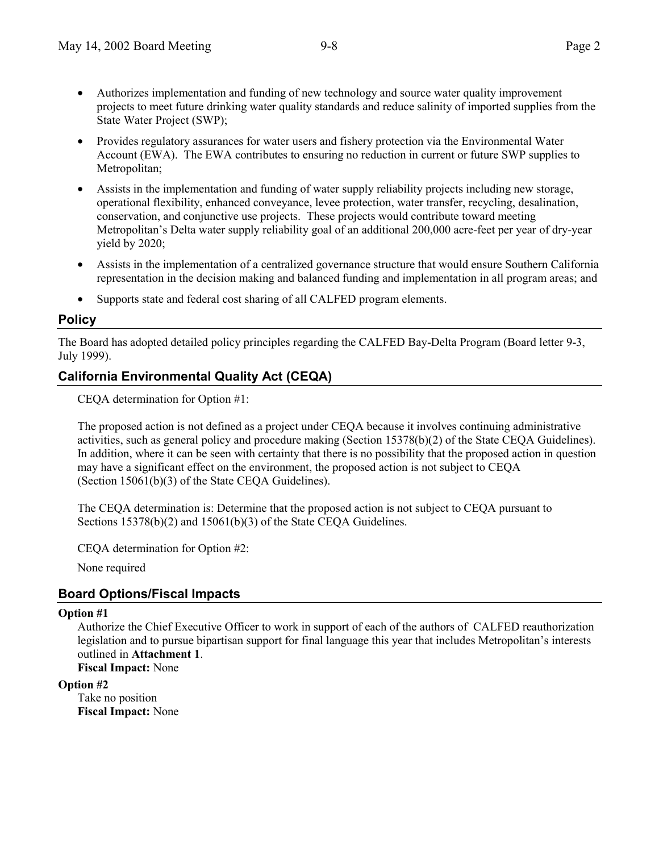- Authorizes implementation and funding of new technology and source water quality improvement projects to meet future drinking water quality standards and reduce salinity of imported supplies from the State Water Project (SWP);
- Provides regulatory assurances for water users and fishery protection via the Environmental Water Account (EWA). The EWA contributes to ensuring no reduction in current or future SWP supplies to Metropolitan;
- Assists in the implementation and funding of water supply reliability projects including new storage, operational flexibility, enhanced conveyance, levee protection, water transfer, recycling, desalination, conservation, and conjunctive use projects. These projects would contribute toward meeting Metropolitan's Delta water supply reliability goal of an additional 200,000 acre-feet per year of dry-year yield by 2020;
- Assists in the implementation of a centralized governance structure that would ensure Southern California representation in the decision making and balanced funding and implementation in all program areas; and
- Supports state and federal cost sharing of all CALFED program elements.

#### **Policy**

The Board has adopted detailed policy principles regarding the CALFED Bay-Delta Program (Board letter 9-3, July 1999).

## **California Environmental Quality Act (CEQA)**

CEQA determination for Option #1:

The proposed action is not defined as a project under CEQA because it involves continuing administrative activities, such as general policy and procedure making (Section 15378(b)(2) of the State CEQA Guidelines). In addition, where it can be seen with certainty that there is no possibility that the proposed action in question may have a significant effect on the environment, the proposed action is not subject to CEQA (Section 15061(b)(3) of the State CEQA Guidelines).

The CEQA determination is: Determine that the proposed action is not subject to CEQA pursuant to Sections 15378(b)(2) and 15061(b)(3) of the State CEOA Guidelines.

CEQA determination for Option #2:

None required

### **Board Options/Fiscal Impacts**

#### **Option #1**

Authorize the Chief Executive Officer to work in support of each of the authors of CALFED reauthorization legislation and to pursue bipartisan support for final language this year that includes Metropolitan's interests outlined in **Attachment 1**.

**Fiscal Impact:** None

#### **Option #2**

Take no position **Fiscal Impact:** None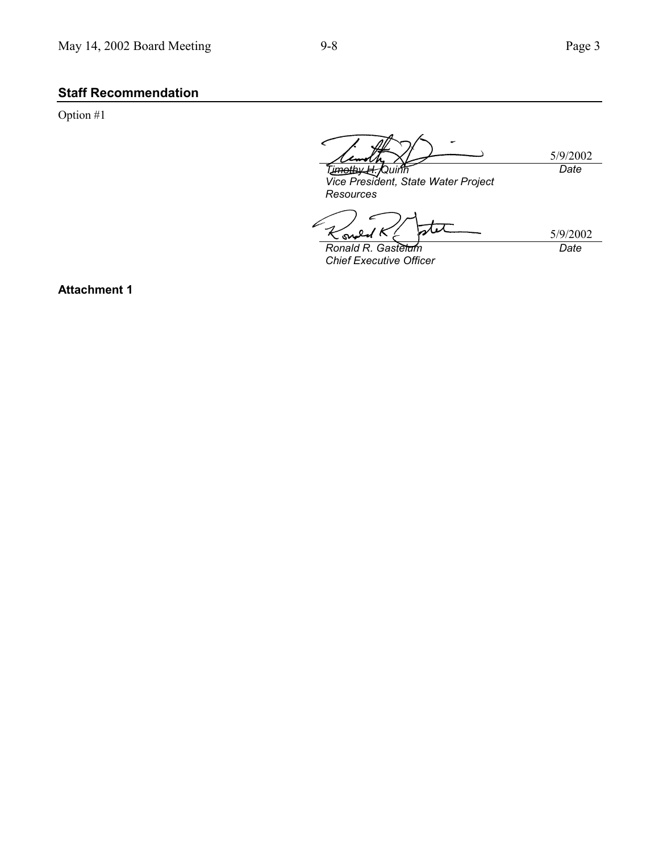# **Staff Recommendation**

Option #1

5/9/2002 *Timothy H. Quinn Date*

*Vice President, State Water Project Resources*

É tet Κ  $\overline{Q}$ K sw

5/9/2002 *Date*

*Ronald R. Gastelum Chief Executive Officer*

**Attachment 1**